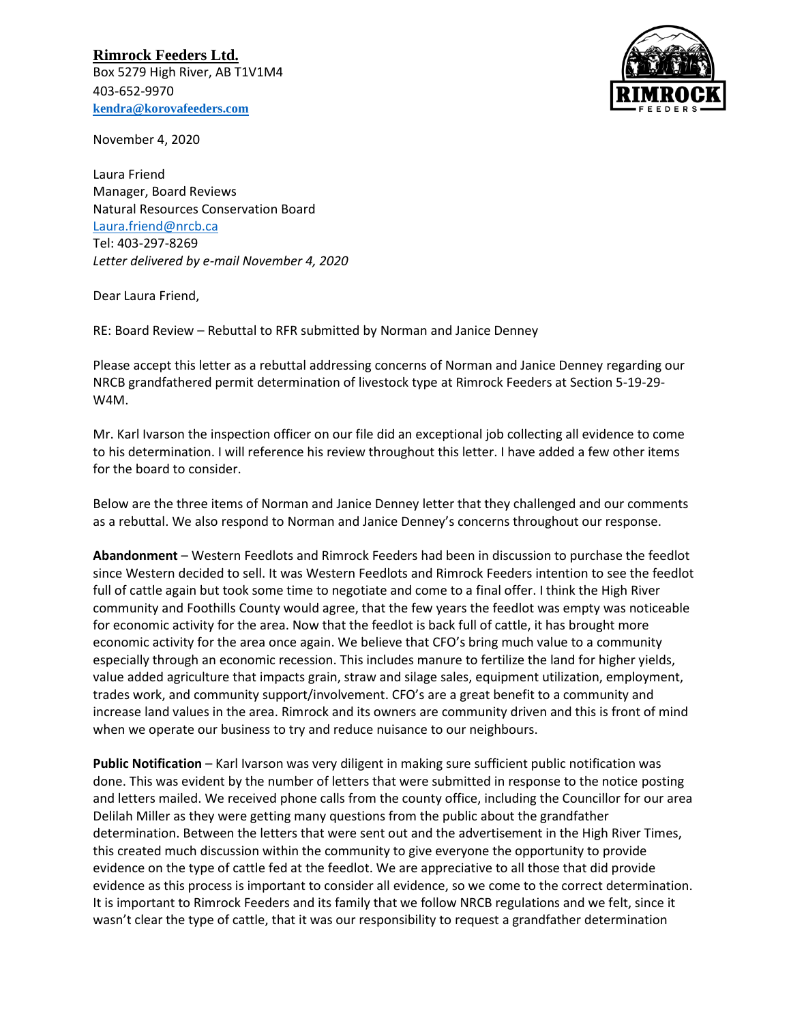**Rimrock Feeders Ltd.** Box 5279 High River, AB T1V1M4 403-652-9970 **[kendra@korovafeeders.com](mailto:kendra@korovafeeders.com)**



November 4, 2020

Laura Friend Manager, Board Reviews Natural Resources Conservation Board [Laura.friend@nrcb.ca](mailto:Laura.friend@nrcb.ca) Tel: 403-297-8269 *Letter delivered by e-mail November 4, 2020*

Dear Laura Friend,

RE: Board Review – Rebuttal to RFR submitted by Norman and Janice Denney

Please accept this letter as a rebuttal addressing concerns of Norman and Janice Denney regarding our NRCB grandfathered permit determination of livestock type at Rimrock Feeders at Section 5-19-29- W4M.

Mr. Karl Ivarson the inspection officer on our file did an exceptional job collecting all evidence to come to his determination. I will reference his review throughout this letter. I have added a few other items for the board to consider.

Below are the three items of Norman and Janice Denney letter that they challenged and our comments as a rebuttal. We also respond to Norman and Janice Denney's concerns throughout our response.

**Abandonment** – Western Feedlots and Rimrock Feeders had been in discussion to purchase the feedlot since Western decided to sell. It was Western Feedlots and Rimrock Feeders intention to see the feedlot full of cattle again but took some time to negotiate and come to a final offer. I think the High River community and Foothills County would agree, that the few years the feedlot was empty was noticeable for economic activity for the area. Now that the feedlot is back full of cattle, it has brought more economic activity for the area once again. We believe that CFO's bring much value to a community especially through an economic recession. This includes manure to fertilize the land for higher yields, value added agriculture that impacts grain, straw and silage sales, equipment utilization, employment, trades work, and community support/involvement. CFO's are a great benefit to a community and increase land values in the area. Rimrock and its owners are community driven and this is front of mind when we operate our business to try and reduce nuisance to our neighbours.

**Public Notification** – Karl Ivarson was very diligent in making sure sufficient public notification was done. This was evident by the number of letters that were submitted in response to the notice posting and letters mailed. We received phone calls from the county office, including the Councillor for our area Delilah Miller as they were getting many questions from the public about the grandfather determination. Between the letters that were sent out and the advertisement in the High River Times, this created much discussion within the community to give everyone the opportunity to provide evidence on the type of cattle fed at the feedlot. We are appreciative to all those that did provide evidence as this process is important to consider all evidence, so we come to the correct determination. It is important to Rimrock Feeders and its family that we follow NRCB regulations and we felt, since it wasn't clear the type of cattle, that it was our responsibility to request a grandfather determination